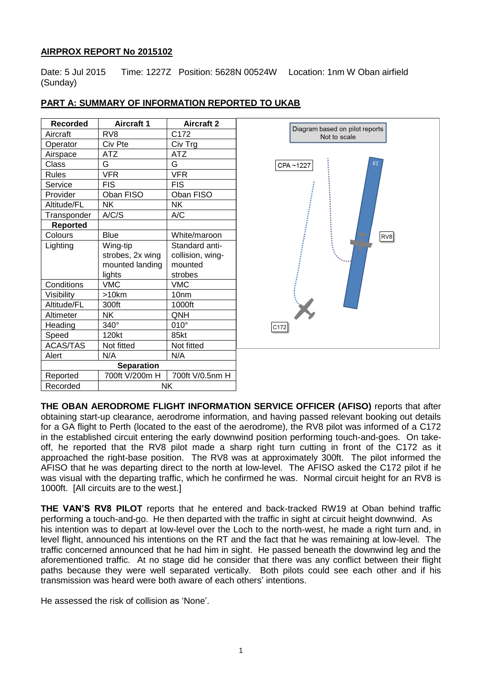# **AIRPROX REPORT No 2015102**

Date: 5 Jul 2015 Time: 1227Z Position: 5628N 00524W Location: 1nm W Oban airfield (Sunday)

| <b>Recorded</b>   | <b>Aircraft 1</b>           | <b>Aircraft 2</b> |
|-------------------|-----------------------------|-------------------|
| Aircraft          | R <sub>V</sub> <sub>8</sub> | C172              |
| Operator          | Civ Pte                     | Civ Trg           |
| Airspace          | ATZ                         | ATZ               |
| Class             | G                           | G                 |
| <b>Rules</b>      | <b>VFR</b>                  | <b>VFR</b>        |
| Service           | FIS                         | <b>FIS</b>        |
| Provider          | Oban FISO                   | Oban FISO         |
| Altitude/FL       | <b>NK</b>                   | <b>NK</b>         |
| Transponder       | A/C/S                       | A/C               |
| <b>Reported</b>   |                             |                   |
| Colours           | Blue                        | White/maroon      |
| Lighting          | Wing-tip                    | Standard anti-    |
|                   | strobes, 2x wing            | collision, wing-  |
|                   | mounted landing             | mounted           |
|                   | lights                      | strobes           |
| Conditions        | <b>VMC</b>                  | <b>VMC</b>        |
| Visibility        | $>10$ km                    | 10 <sub>nm</sub>  |
| Altitude/FL       | 300ft                       | 1000ft            |
| Altimeter         | NΚ                          | QNH               |
| Heading           | $340^\circ$                 | $010^\circ$       |
| Speed             | 120kt                       | 85kt              |
| <b>ACAS/TAS</b>   | Not fitted                  | Not fitted        |
| Alert             | N/A                         | N/A               |
| <b>Separation</b> |                             |                   |
| Reported          | 700ft V/200m H              | 700ft V/0.5nm H   |
| Recorded          | NK                          |                   |

# **PART A: SUMMARY OF INFORMATION REPORTED TO UKAB**



**THE OBAN AERODROME FLIGHT INFORMATION SERVICE OFFICER (AFISO)** reports that after obtaining start-up clearance, aerodrome information, and having passed relevant booking out details for a GA flight to Perth (located to the east of the aerodrome), the RV8 pilot was informed of a C172 in the established circuit entering the early downwind position performing touch-and-goes. On takeoff, he reported that the RV8 pilot made a sharp right turn cutting in front of the C172 as it approached the right-base position. The RV8 was at approximately 300ft. The pilot informed the AFISO that he was departing direct to the north at low-level. The AFISO asked the C172 pilot if he was visual with the departing traffic, which he confirmed he was. Normal circuit height for an RV8 is 1000ft. [All circuits are to the west.]

**THE VAN'S RV8 PILOT** reports that he entered and back-tracked RW19 at Oban behind traffic performing a touch-and-go. He then departed with the traffic in sight at circuit height downwind. As his intention was to depart at low-level over the Loch to the north-west, he made a right turn and, in level flight, announced his intentions on the RT and the fact that he was remaining at low-level. The traffic concerned announced that he had him in sight. He passed beneath the downwind leg and the aforementioned traffic. At no stage did he consider that there was any conflict between their flight paths because they were well separated vertically. Both pilots could see each other and if his transmission was heard were both aware of each others' intentions.

He assessed the risk of collision as 'None'.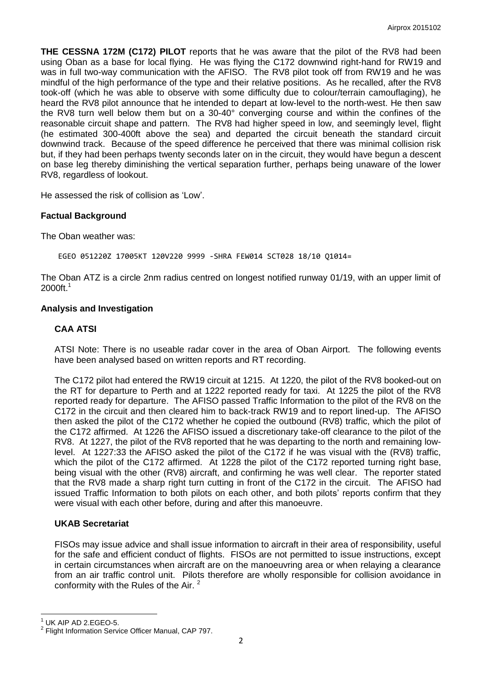**THE CESSNA 172M (C172) PILOT** reports that he was aware that the pilot of the RV8 had been using Oban as a base for local flying. He was flying the C172 downwind right-hand for RW19 and was in full two-way communication with the AFISO. The RV8 pilot took off from RW19 and he was mindful of the high performance of the type and their relative positions. As he recalled, after the RV8 took-off (which he was able to observe with some difficulty due to colour/terrain camouflaging), he heard the RV8 pilot announce that he intended to depart at low-level to the north-west. He then saw the RV8 turn well below them but on a 30-40° converging course and within the confines of the reasonable circuit shape and pattern. The RV8 had higher speed in low, and seemingly level, flight (he estimated 300-400ft above the sea) and departed the circuit beneath the standard circuit downwind track. Because of the speed difference he perceived that there was minimal collision risk but, if they had been perhaps twenty seconds later on in the circuit, they would have begun a descent on base leg thereby diminishing the vertical separation further, perhaps being unaware of the lower RV8, regardless of lookout.

He assessed the risk of collision as 'Low'.

## **Factual Background**

The Oban weather was:

EGEO 051220Z 17005KT 120V220 9999 -SHRA FEW014 SCT028 18/10 Q1014=

The Oban ATZ is a circle 2nm radius centred on longest notified runway 01/19, with an upper limit of 2000ft.<sup>1</sup>

## **Analysis and Investigation**

## **CAA ATSI**

ATSI Note: There is no useable radar cover in the area of Oban Airport. The following events have been analysed based on written reports and RT recording.

The C172 pilot had entered the RW19 circuit at 1215. At 1220, the pilot of the RV8 booked-out on the RT for departure to Perth and at 1222 reported ready for taxi. At 1225 the pilot of the RV8 reported ready for departure. The AFISO passed Traffic Information to the pilot of the RV8 on the C172 in the circuit and then cleared him to back-track RW19 and to report lined-up. The AFISO then asked the pilot of the C172 whether he copied the outbound (RV8) traffic, which the pilot of the C172 affirmed. At 1226 the AFISO issued a discretionary take-off clearance to the pilot of the RV8. At 1227, the pilot of the RV8 reported that he was departing to the north and remaining lowlevel. At 1227:33 the AFISO asked the pilot of the C172 if he was visual with the (RV8) traffic, which the pilot of the C172 affirmed. At 1228 the pilot of the C172 reported turning right base, being visual with the other (RV8) aircraft, and confirming he was well clear. The reporter stated that the RV8 made a sharp right turn cutting in front of the C172 in the circuit. The AFISO had issued Traffic Information to both pilots on each other, and both pilots' reports confirm that they were visual with each other before, during and after this manoeuvre.

## **UKAB Secretariat**

FISOs may issue advice and shall issue information to aircraft in their area of responsibility, useful for the safe and efficient conduct of flights. FISOs are not permitted to issue instructions, except in certain circumstances when aircraft are on the manoeuvring area or when relaying a clearance from an air traffic control unit. Pilots therefore are wholly responsible for collision avoidance in conformity with the Rules of the Air. <sup>2</sup>

 $\overline{\phantom{a}}$ 

UK AIP AD 2.EGEO-5.

<sup>2</sup> Flight Information Service Officer Manual, CAP 797.